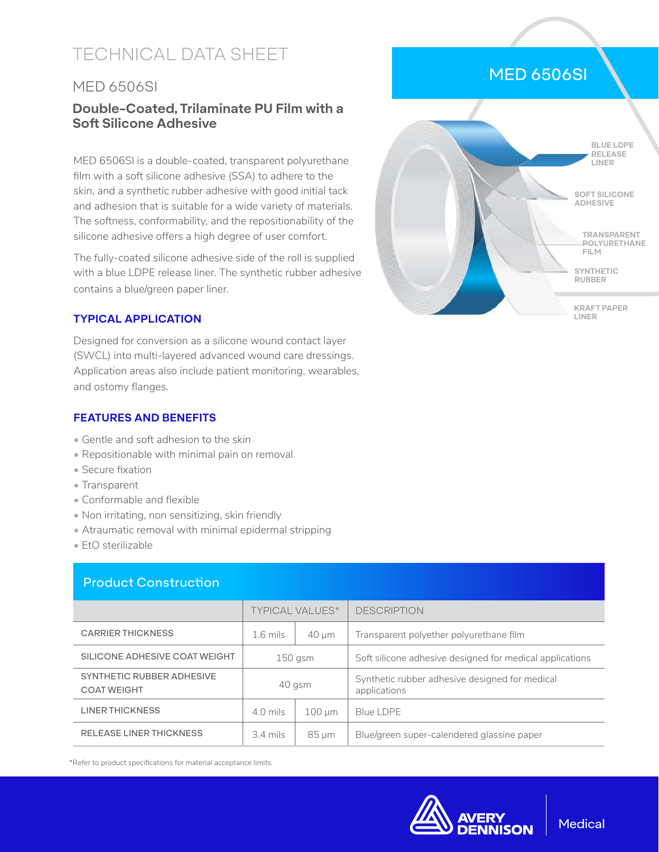# TECHNICAL DATA SHEET

## MED 6506SI

### **Double-Coated, Trilaminate PU Film with a Soft Silicone Adhesive**

MED 6506SI is a double-coated, transparent polyurethane film with a soft silicone adhesive (SSA) to adhere to the skin, and a synthetic rubber adhesive with good initial tack and adhesion that is suitable for a wide variety of materials. The softness, conformability, and the repositionability of the silicone adhesive offers a high degree of user comfort.

The fully-coated silicone adhesive side of the roll is supplied with a blue LDPE release liner. The synthetic rubber adhesive contains a blue/green paper liner.

### **TYPICAL APPLICATION**

Designed for conversion as a silicone wound contact layer (SWCL) into multi-layered advanced wound care dressings. Application areas also include patient monitoring, wearables, and ostomy flanges.

### **FEATURES AND BENEFITS**

- Gentle and soft adhesion to the skin
- Repositionable with minimal pain on removal
- Secure fixation
- Transparent
- Conformable and flexible
- Non irritating, non sensitizing, skin friendly
- Atraumatic removal with minimal epidermal stripping
- EtO sterilizable

### Product Construction

|                                                 | <b>TYPICAL VALUES*</b> |             | <b>DESCRIPTION</b>                                             |  |
|-------------------------------------------------|------------------------|-------------|----------------------------------------------------------------|--|
| <b>CARRIER THICKNESS</b>                        | $1.6$ mils             | $40 \mu m$  | Transparent polyether polyurethane film                        |  |
| SILICONE ADHESIVE COAT WEIGHT                   | $150$ gsm              |             | Soft silicone adhesive designed for medical applications       |  |
| SYNTHETIC RUBBER ADHESIVE<br><b>COAT WEIGHT</b> | 40 gsm                 |             | Synthetic rubber adhesive designed for medical<br>applications |  |
| LINER THICKNESS                                 | $4.0$ mils             | $100 \mu m$ | Blue LDPE                                                      |  |
| <b>RELEASE LINER THICKNESS</b>                  | $3.4 \text{ miles}$    | $85 \mu m$  | Blue/green super-calendered glassine paper                     |  |

\*Refer to product specifications for material acceptance limits.